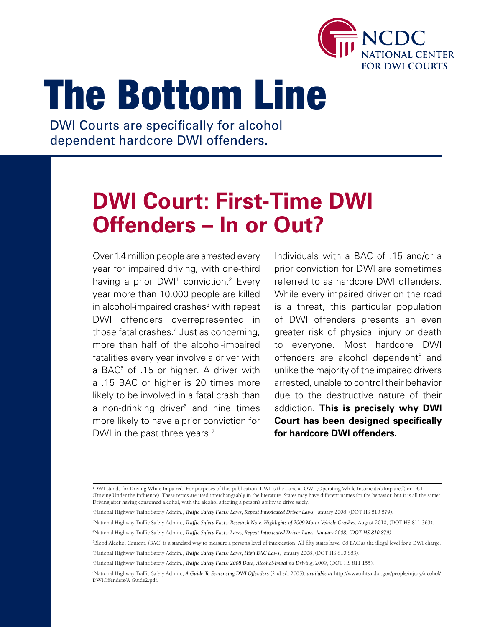

# The Bottom Line

DWI Courts are specifically for alcohol dependent hardcore DWI offenders.

# **DWI Court: First-Time DWI Offenders – In or Out?**

Over 1.4 million people are arrested every year for impaired driving, with one-third having a prior DWI<sup>1</sup> conviction.<sup>2</sup> Every year more than 10,000 people are killed in alcohol-impaired crashes<sup>3</sup> with repeat DWI offenders overrepresented in those fatal crashes.4 Just as concerning, more than half of the alcohol-impaired fatalities every year involve a driver with a BAC<sup>5</sup> of .15 or higher. A driver with a .15 BAC or higher is 20 times more likely to be involved in a fatal crash than a non-drinking driver<sup>6</sup> and nine times more likely to have a prior conviction for DWI in the past three years.<sup>7</sup>

Individuals with a BAC of .15 and/or a prior conviction for DWI are sometimes referred to as hardcore DWI offenders. While every impaired driver on the road is a threat, this particular population of DWI offenders presents an even greater risk of physical injury or death to everyone. Most hardcore DWI offenders are alcohol dependent<sup>8</sup> and unlike the majority of the impaired drivers arrested, unable to control their behavior due to the destructive nature of their addiction. **This is precisely why DWI Court has been designed specifically for hardcore DWI offenders.**

<sup>1</sup> DWI stands for Driving While Impaired. For purposes of this publication, DWI is the same as OWI (Operating While Intoxicated/Impaired) or DUI (Driving Under the Influence). These terms are used interchangeably in the literature. States may have different names for the behavior, but it is all the same: Driving after having consumed alcohol, with the alcohol affecting a person's ability to drive safely.

<sup>&</sup>lt;sup>2</sup>National Highway Traffic Safety Admin., *Traffic Safety Facts: Laws, Repeat Intoxicated Driver Laws, January 2008*, (DOT HS 810 879).

<sup>&</sup>lt;sup>3</sup>National Highway Traffic Safety Admin., *Traffic Safety Facts: Research Note, Highlights of 2009 Motor Vehicle Crashes, August 2010, (DOT HS 811 363).* 

<sup>4</sup> National Highway Traffic Safety Admin., *Traffic Safety Facts: Laws, Repeat Intoxicated Driver Laws, January 2008, (DOT HS 810 879).*

<sup>5</sup> Blood Alcohol Content, (BAC) is a standard way to measure a person's level of intoxication. All fifty states have .08 BAC as the illegal level for a DWI charge.

<sup>6</sup> National Highway Traffic Safety Admin., *Traffic Safety Facts: Laws, High BAC Laws,* January 2008, (DOT HS 810 883).

<sup>7</sup> National Highway Traffic Safety Admin., *Traffic Safety Facts: 2008 Data, Alcohol-Impaired Driving,* 2009, (DOT HS 811 155).

<sup>8</sup> National Highway Traffic Safety Admin., *A Guide To Sentencing DWI Offenders* (2nd ed. 2005), *available at* http://www.nhtsa.dot.gov/people/injury/alcohol/ DWIOffenders/A Guide2.pdf.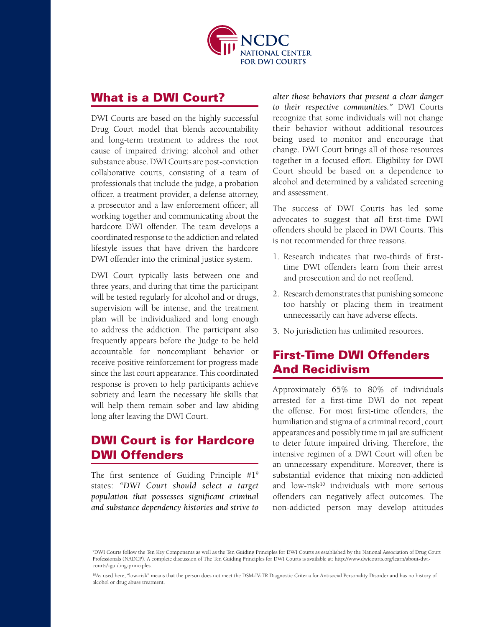

#### What is a DWI Court?

DWI Courts are based on the highly successful Drug Court model that blends accountability and long-term treatment to address the root cause of impaired driving: alcohol and other substance abuse. DWI Courts are post-conviction collaborative courts, consisting of a team of professionals that include the judge, a probation officer, a treatment provider, a defense attorney, a prosecutor and a law enforcement officer; all working together and communicating about the hardcore DWI offender. The team develops a coordinated response to the addiction and related lifestyle issues that have driven the hardcore DWI offender into the criminal justice system.

DWI Court typically lasts between one and three years, and during that time the participant will be tested regularly for alcohol and or drugs, supervision will be intense, and the treatment plan will be individualized and long enough to address the addiction. The participant also frequently appears before the Judge to be held accountable for noncompliant behavior or receive positive reinforcement for progress made since the last court appearance. This coordinated response is proven to help participants achieve sobriety and learn the necessary life skills that will help them remain sober and law abiding long after leaving the DWI Court.

# DWI Court is for Hardcore DWI Offenders

The first sentence of Guiding Principle #19 states: *"DWI Court should select a target population that possesses significant criminal and substance dependency histories and strive to* 

*alter those behaviors that present a clear danger to their respective communities."* DWI Courts recognize that some individuals will not change their behavior without additional resources being used to monitor and encourage that change. DWI Court brings all of those resources together in a focused effort. Eligibility for DWI Court should be based on a dependence to alcohol and determined by a validated screening and assessment.

The success of DWI Courts has led some advocates to suggest that *all* first-time DWI offenders should be placed in DWI Courts. This is not recommended for three reasons.

- 1. Research indicates that two-thirds of firsttime DWI offenders learn from their arrest and prosecution and do not reoffend.
- 2. Research demonstrates that punishing someone too harshly or placing them in treatment unnecessarily can have adverse effects.
- 3. No jurisdiction has unlimited resources.

# First-Time Dwi Offenders And Recidivism

Approximately 65% to 80% of individuals arrested for a first-time DWI do not repeat the offense. For most first-time offenders, the humiliation and stigma of a criminal record, court appearances and possibly time in jail are sufficient to deter future impaired driving. Therefore, the intensive regimen of a DWI Court will often be an unnecessary expenditure. Moreover, there is substantial evidence that mixing non-addicted and  $low-risk^{10}$  individuals with more serious offenders can negatively affect outcomes. The non-addicted person may develop attitudes

<sup>9</sup> DWI Courts follow the Ten Key Components as well as the Ten Guiding Principles for DWI Courts as established by the National Association of Drug Court Professionals (NADCP). A complete discussion of The Ten Guiding Principles for DWI Courts is available at: http://www.dwicourts.org/learn/about-dwicourts/-guiding-principles.

<sup>&</sup>lt;sup>10</sup>As used here, "low-risk" means that the person does not meet the DSM-IV-TR Diagnostic Criteria for Antisocial Personality Disorder and has no history of alcohol or drug abuse treatment.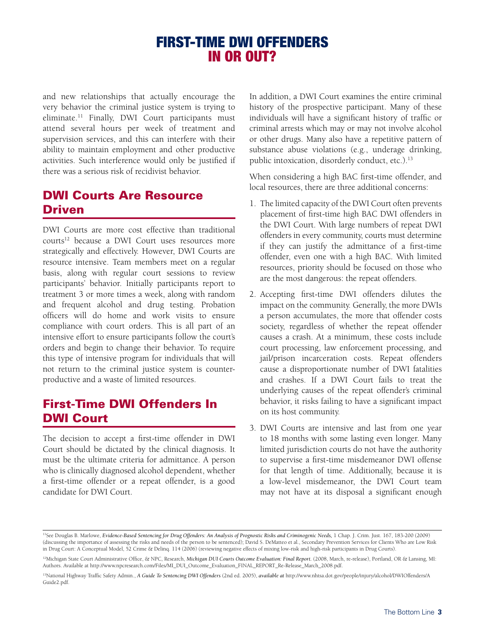# First-Time DWI Offenders In Or Out?

and new relationships that actually encourage the very behavior the criminal justice system is trying to eliminate.<sup>11</sup> Finally, DWI Court participants must attend several hours per week of treatment and supervision services, and this can interfere with their ability to maintain employment and other productive activities. Such interference would only be justified if there was a serious risk of recidivist behavior.

## Dwi Courts Are Resource Driven

DWI Courts are more cost effective than traditional courts<sup>12</sup> because a DWI Court uses resources more strategically and effectively. However, DWI Courts are resource intensive. Team members meet on a regular basis, along with regular court sessions to review participants' behavior. Initially participants report to treatment 3 or more times a week, along with random and frequent alcohol and drug testing. Probation officers will do home and work visits to ensure compliance with court orders. This is all part of an intensive effort to ensure participants follow the court's orders and begin to change their behavior. To require this type of intensive program for individuals that will not return to the criminal justice system is counterproductive and a waste of limited resources.

# First-Time Dwi Offenders In Dwi Court

The decision to accept a first-time offender in DWI Court should be dictated by the clinical diagnosis. It must be the ultimate criteria for admittance. A person who is clinically diagnosed alcohol dependent, whether a first-time offender or a repeat offender, is a good candidate for DWI Court.

In addition, a DWI Court examines the entire criminal history of the prospective participant. Many of these individuals will have a significant history of traffic or criminal arrests which may or may not involve alcohol or other drugs. Many also have a repetitive pattern of substance abuse violations (e.g., underage drinking, public intoxication, disorderly conduct, etc.).<sup>13</sup>

When considering a high BAC first-time offender, and local resources, there are three additional concerns:

- 1. The limited capacity of the DWI Court often prevents placement of first-time high BAC DWI offenders in the DWI Court. With large numbers of repeat DWI offenders in every community, courts must determine if they can justify the admittance of a first-time offender, even one with a high BAC. With limited resources, priority should be focused on those who are the most dangerous: the repeat offenders.
- 2. Accepting first-time DWI offenders dilutes the impact on the community. Generally, the more DWIs a person accumulates, the more that offender costs society, regardless of whether the repeat offender causes a crash. At a minimum, these costs include court processing, law enforcement processing, and jail/prison incarceration costs. Repeat offenders cause a disproportionate number of DWI fatalities and crashes. If a DWI Court fails to treat the underlying causes of the repeat offender's criminal behavior, it risks failing to have a significant impact on its host community.
- 3. DWI Courts are intensive and last from one year to 18 months with some lasting even longer. Many limited jurisdiction courts do not have the authority to supervise a first-time misdemeanor DWI offense for that length of time. Additionally, because it is a low-level misdemeanor, the DWI Court team may not have at its disposal a significant enough

<sup>11</sup>See Douglas B. Marlowe, *Evidence-Based Sentencing for Drug Offenders: An Analysis of Prognostic Risks and Criminogenic Needs,* 1 Chap. J. Crim. Just. 167, 183-200 (2009) (discussing the importance of assessing the risks and needs of the person to be sentenced); David S. DeMatteo et al., Secondary Prevention Services for Clients Who are Low Risk in Drug Court: A Conceptual Model, 52 Crime & Delinq. 114 (2006) (reviewing negative effects of mixing low-risk and high-risk participants in Drug Courts).

<sup>&</sup>lt;sup>12</sup>Michigan State Court Administrative Office, & NPC, Research, *Michigan DUI Courts Outcome Evaluation: Final Report.* (2008, March, re-release), Portland, OR & Lansing, MI: Authors. Available at http://www.npcresearch.com/Files/MI\_DUI\_Outcome\_Evaluation\_FINAL\_REPORT\_Re-Release\_March\_2008.pdf.

<sup>13</sup>National Highway Traffic Safety Admin., *A Guide To Sentencing DWI Offenders* (2nd ed. 2005), *available at* http://www.nhtsa.dot.gov/people/injury/alcohol/DWIOffenders/A Guide2.pdf.